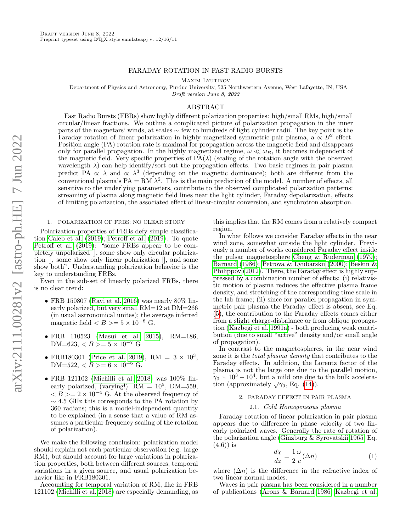## FARADAY ROTATION IN FAST RADIO BURSTS

Maxim Lyutikov

Department of Physics and Astronomy, Purdue University, 525 Northwestern Avenue, West Lafayette, IN, USA

Draft version June 8, 2022

# ABSTRACT

Fast Radio Bursts (FBRs) show highly different polarization properties: high/small RMs, high/small circular/linear fractions. We outline a complicated picture of polarization propagation in the inner parts of the magnetars' winds, at scales ∼ few to hundreds of light cylinder radii. The key point is the Faraday rotation of linear polarization in highly magnetized symmetric pair plasma, a  $\propto B^2$  effect. Position angle (PA) rotation rate is maximal for propagation across the magnetic field and disappears only for parallel propagation. In the highly magnetized regime,  $\omega \ll \omega_B$ , it becomes independent of the magnetic field. Very specific properties of  $PA(\lambda)$  (scaling of the rotation angle with the observed wavelength  $\lambda$ ) can help identify/sort out the propagation effects. Two basic regimes in pair plasma predict PA  $\propto \lambda$  and  $\propto \lambda^3$  (depending on the magnetic dominance); both are different from the conventional plasma's  $PA = RM \lambda^2$ . This is the main prediction of the model. A number of effects, all sensitive to the underlying parameters, contribute to the observed complicated polarization patterns: streaming of plasma along magnetic field lines near the light cylinder, Faraday depolarization, effects of limiting polarization, the associated effect of linear-circular conversion, and synchrotron absorption.

# <span id="page-0-0"></span>1. POLARIZATION OF FRBS: NO CLEAR STORY

Polarization properties of FRBs defy simple classification [Caleb et al. \(2019\)](#page-4-0); [Petroff et al. \(2019\)](#page-4-1). To quote [Petroff et al. \(2019\)](#page-4-1): "some FRBs appear to be completely unpolarized [], some show only circular polarization [], some show only linear polarization [], and some show both". Understanding polarization behavior is the key to understanding FRBs.

Even in the sub-set of linearly polarized FRBs, there is no clear trend:

- FRB 150807 [\(Ravi et al. 2016\)](#page-4-2) was nearly 80% linearly polarized, but very small RM=12 at DM=266 (in usual astronomical unites); the average inferred magnetic field  $\langle B \rangle = 5 \times 10^{-8}$  G.
- FRB 110523 [\(Masui et al. 2015\)](#page-4-3), RM=186, DM=623,  $\langle B \rangle = 5 \times 10^{-7}$  G
- FRB180301 [\(Price et al. 2019\)](#page-4-4), RM =  $3 \times 10^3$ , DM=522,  $\langle B \rangle = 6 \times 10^{-6}$  G.
- FRB 121102 [\(Michilli et al. 2018\)](#page-4-5) was 100% linearly polarized, (varying!)  $RM = 10^5$ ,  $DM = 559$ ,  $\langle B \rangle = 2 \times 10^{-4}$  G. At the observed frequency of  $\sim$  4.5 GHz this corresponds to the PA rotation by 360 radians; this is a model-independent quantity to be explained (in a sense that a value of RM assumes a particular frequency scaling of the rotation of polarization).

We make the following conclusion: polarization model should explain not each particular observation (e.g. large RM), but should account for large variations in polarization properties, both between different sources, temporal variations in a given source, and usual polarization behavior like in FRB180301.

Accounting for temporal variation of RM, like in FRB 121102 [\(Michilli et al. 2018\)](#page-4-5) are especially demanding, as

this implies that the RM comes from a relatively compact region.

In what follows we consider Faraday effects in the near wind zone, somewhat outside the light cylinder. Previously a number of works considered Faraday effect inside the pulsar magnetosphere [Cheng & Ruderman \(1979\)](#page-4-6); [Barnard \(1986\)](#page-4-7); [Petrova & Lyubarskii \(2000\)](#page-4-8); [Beskin &](#page-4-9) [Philippov \(2012\)](#page-4-9). There, the Faraday effect is highly suppressed by a combination number of effects: (i) relativistic motion of plasma reduces the effective plasma frame density, and stretching of the corresponding time scale in the lab frame; (ii) since for parallel propagation in symmetric pair plasma the Faraday effect is absent, see Eq. [\(5\)](#page-1-0), the contribution to the Faraday effects comes either from a slight charge-disbalance or from oblique propagation [\(Kazbegi et al. 1991a\)](#page-4-10) - both producing weak contribution (due to small "active" density and/or small angle of propagation).

In contrast to the magnetospheres, in the near wind zone it is the total plasma density that contributes to the Faraday effects. In addition, the Lorentz factor of the plasma is not the large one due to the parallel motion,  $\gamma_0 \sim 10^3 - 10^4$ , but a mild one due to the bulk acceleration (approximately  $\sqrt{\gamma_0}$ , Eq. [\(14\)](#page-2-0)).

## 2. FARADAY EFFECT IN PAIR PLASMA

#### 2.1. Cold Homogeneous plasma

Faraday rotation of linear polarization in pair plasma appears due to difference in phase velocity of two linearly polarized waves. Generally the rate of rotation of the polarization angle [\(Ginzburg & Syrovatskii 1965,](#page-4-11) Eq.  $(4.6)$ ) is

$$
\frac{d\chi}{dz} = \frac{1}{2} \frac{\omega}{c} (\Delta n) \tag{1}
$$

where  $(\Delta n)$  is the difference in the refractive index of two linear normal modes.

Waves in pair plasma has been considered in a number of publications [\(Arons & Barnard 1986;](#page-4-12) [Kazbegi et al.](#page-4-13)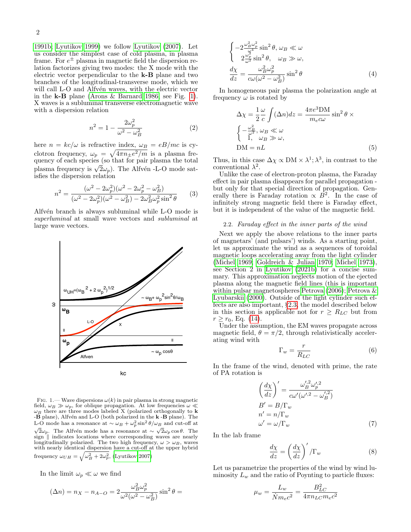[1991b;](#page-4-13) [Lyutikov 1999\)](#page-4-14) we follow [Lyutikov \(2007\)](#page-4-15). Let us consider the simplest case of cold plasma, in plasma frame. For  $e^{\pm}$  plasma in magnetic field the dispersion relation factorizes giving two modes: the X mode with the electric vector perpendicular to the k-B plane and two branches of the longitudinal-transverse mode, which we will call L-O and Alfvén waves, with the electric vector in the  $k-B$  plane [\(Arons & Barnard 1986,](#page-4-12) see Fig. [1\)](#page-1-1). X waves is a subluminal transverse electromagnetic wave with a dispersion relation

$$
n^2 = 1 - \frac{2\omega_p^2}{\omega^2 - \omega_B^2} \tag{2}
$$

here  $n = kc/\omega$  is refractive index,  $\omega_B = eB/mc$  is cyclotron frequency,  $\omega_p = \sqrt{4\pi n_{\pm}e^2/m}$  is a plasma frequency of each species (so that for pair plasma the total quency of each species (so that for pair plasma the total<br>plasma frequency is  $\sqrt{2}\omega_p$ ). The Alfvén -L-O mode satisfies the dispersion relation

$$
n^{2} = \frac{(\omega^{2} - 2\omega_{p}^{2})(\omega^{2} - 2\omega_{p}^{2} - \omega_{B}^{2})}{(\omega^{2} - 2\omega_{p}^{2})(\omega^{2} - \omega_{B}^{2}) - 2\omega_{B}^{2}\omega_{p}^{2}\sin^{2}\theta}
$$
(3)

Alfvén branch is always subluminal while L-O mode is superluminal at small wave vectors and subluminal at large wave vectors.



<span id="page-1-1"></span>FIG. 1.— Wave dispersions  $\omega(k)$  in pair plasma in strong magnetic field,  $\omega_B \gg \omega_p$ , for oblique propagation. At low frequencies  $\omega \ll$  $\omega_B$  there are three modes labeled X (polarized orthogonally to **k** -**B** plane), Alfvén and L-O (both polarized in the **k** -**B** plane). The L-O mode has a resonance at  $\sim \omega_B + \omega_p^2 \sin^2 \theta / \omega_B$  and cut-off at  $\sqrt{2}\omega_p$ . The Alfvén mode has a resonance at  $\sim \sqrt{2}\omega_p \cos \theta$ . The sign  $\parallel$  indicates locations where corresponding waves are nearly longitudinally polarized. The two high frequency,  $\omega > \omega_B$ , waves with nearly identical dispersion have a cut-off at the upper hybrid frequency  $\omega_{UH} = \sqrt{\omega_B^2 + 2\omega_p^2}$ , [\(Lyutikov 2007\)](#page-4-15)

In the limit  $\omega_p \ll \omega$  we find

$$
(\Delta n) = n_X - n_{A-O} = 2 \frac{\omega_B^2 \omega_p^2}{\omega^2 (\omega^2 - \omega_B^2)} \sin^2 \theta =
$$

$$
\begin{cases}\n-2\frac{\omega_B^2 \omega_p^2}{\omega^4} \sin^2 \theta, \ \omega_B \ll \omega \\
2\frac{\omega_p^2}{\omega^2} \sin^2 \theta, \quad \omega_B \gg \omega, \\
\frac{d\chi}{dz} = \frac{\omega_B^2 \omega_p^2}{c\omega(\omega^2 - \omega_B^2)} \sin^2 \theta\n\end{cases} \tag{4}
$$

In homogeneous pair plasma the polarization angle at frequency  $\omega$  is rotated by

<span id="page-1-0"></span>
$$
\Delta \chi = \frac{1}{2} \frac{\omega}{c} \int (\Delta n) dz = \frac{4\pi e^3 \text{DM}}{m_e c \omega} \sin^2 \theta \times \begin{cases} -\frac{\omega_B^2}{\omega^2}, \omega_B \ll \omega \\ 1, & \omega_B \gg \omega, \end{cases}
$$
  
DM = nL (5)

Thus, in this case  $\Delta \chi \propto \text{DM} \times \lambda^1$ ;  $\lambda^3$ , in contrast to the conventional  $\lambda^2$ .

Unlike the case of electron-proton plasma, the Faraday effect in pair plasma disappears for parallel propagation but only for that special direction of propagation. Generally there is Faraday rotation  $\propto \overline{B^2}$ . In the case of infinitely strong magnetic field there is Faraday effect, but it is independent of the value of the magnetic field.

## 2.2. Faraday effect in the inner parts of the wind

Next we apply the above relations to the inner parts of magnetars' (and pulsars') winds. As a starting point, let us approximate the wind as a sequences of toroidal magnetic loops accelerating away from the light cylinder [\(Michel 1969;](#page-4-16) [Goldreich & Julian 1970;](#page-4-17) [Michel 1973\)](#page-4-18), see Section 2 in [Lyutikov \(2021b\)](#page-4-19) for a concise summary. This approximation neglects motion of the ejected plasma along the magnetic field lines (this is important within pulsar magnetospheres [Petrova \(2006\)](#page-4-20); [Petrova &](#page-4-8) [Lyubarskii \(2000\)](#page-4-8). Outside of the light cylinder such effects are also important, §[2.3,](#page-2-1) the model described below in this section is applicable not for  $r \geq R_{LC}$  but from  $r > r_0$ , Eq. [\(14\)](#page-2-0).

Under the assumption, the EM waves propagate across magnetic field,  $\theta = \pi/2$ , through relativistically accelerating wind with

$$
\Gamma_w = \frac{r}{R_{LC}}\tag{6}
$$

In the frame of the wind, denoted with prime, the rate of PA rotation is

$$
\left(\frac{d\chi}{dz}\right)' = \frac{\omega_B'^2 \omega_p'^2}{c\omega'(\omega'^2 - \omega_B'^2)}
$$
\n
$$
B' = B/\Gamma_w
$$
\n
$$
n' = n/\Gamma_w
$$
\n
$$
\omega' = \omega/\Gamma_w
$$
\n(7)

In the lab frame

$$
\frac{d\chi}{dz} = \left(\frac{d\chi}{dz}\right)' / \Gamma_w \tag{8}
$$

Let us parametrize the properties of the wind by wind luminosity  $L_w$  and the ratio of Poynting to particle fluxes:

$$
\mu_w = \frac{L_w}{\dot{N}m_e c^2} = \frac{B_{LC}^2}{4\pi n_{LC} m_e c^2}
$$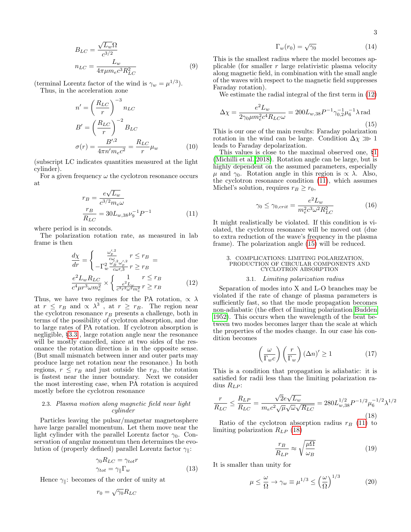$$
B_{LC} = \frac{\sqrt{L_w}\Omega}{c^{3/2}}
$$
  

$$
n_{LC} = \frac{L_w}{4\pi\mu m_e c^3 R_{LC}^2}
$$
 (9)

(terminal Lorentz factor of the wind is  $\gamma_w = \mu^{1/3}$ ).

Thus, in the acceleration zone

$$
n' = \left(\frac{R_{LC}}{r}\right)^{-3} n_{LC}
$$
  
\n
$$
B' = \left(\frac{R_{LC}}{r}\right)^{-2} B_{LC}
$$
  
\n
$$
\sigma(r) = \frac{B'^{2}}{4\pi n' m_{e} c^{2}} = \frac{R_{LC}}{r} \mu_{w}
$$
\n(10)

(subscript LC indicates quantities measured at the light cylinder).

For a given frequency  $\omega$  the cyclotron resonance occurs at

<span id="page-2-3"></span>
$$
r_B = \frac{e\sqrt{L_w}}{c^{3/2}m_e\omega}
$$
  
\n
$$
\frac{r_B}{R_{LC}} = 30L_{w,38}\nu_9^{-1}P^{-1}
$$
 (11)

where period is in seconds.

The polarization rotation rate, as measured in lab frame is then  $\overline{a}$ 

<span id="page-2-2"></span>
$$
\frac{d\chi}{dr} = \begin{cases}\n\frac{\omega_p^{\prime/2}}{c\omega} & r \leq r_B \\
-\Gamma_w^2 \frac{\omega_B^2 \omega_p^{\prime/2}}{c\omega r, 3} & r \geq r_B\n\end{cases} =
$$
\n
$$
\frac{e^2 L_w R_{LC}}{c^4 \mu r^3 \omega m_e^2} \times \begin{cases}\n1 & r \leq r_B \\
\frac{e^2 L_w}{c^3 r^2 \omega^2 m_e^2} & r \geq r_B\n\end{cases}
$$
\n(12)

Thus, we have two regimes for the PA rotation,  $\propto \lambda$ at  $r \leq r_B$  and  $\propto \lambda^3$ , at  $r \geq r_B$ . The region near the cyclotron resonance  $r_B$  presents a challenge, both in terms of the possibility of cyclotron absorption, and due to large rates of PA rotation. If cyclotron absorption is negligible, §[3.3](#page-3-0) , large rotation angle near the resonance will be mostly cancelled, since at two sides of the resonance the rotation direction is in the opposite sense. (But small mismatch between inner and outer parts may produce large net rotation near the resonance.) In both regions,  $r \leq r_B$  and just outside the  $r_B$ , the rotation is fastest near the inner boundary. Next we consider the most interesting case, when PA rotation is acquired mostly before the cyclotron resonance

# <span id="page-2-1"></span>2.3. Plasma motion along magnetic field near light cylinder

Particles leaving the pulsar/magnetar magnetosphere have large parallel momentum. Let them move near the light cylinder with the parallel Lorentz factor  $\gamma_0$ . Conservation of angular momentum then determines the evolution of (properly defined) parallel Lorentz factor  $\gamma_{\parallel}$ :

$$
\gamma_0 R_{LC} = \gamma_{tot} r
$$
  

$$
\gamma_{tot} = \gamma_{\parallel} \Gamma_w
$$
 (13)

Hence  $\gamma_{\parallel}$ : becomes of the order of unity at

<span id="page-2-0"></span>
$$
r_0 = \sqrt{\gamma_0} R_{LC}
$$

$$
\Gamma_w(r_0) = \sqrt{\gamma_0} \tag{14}
$$

This is the smallest radius where the model becomes applicable (for smaller  $r$  large relativistic plasma velocity along magnetic field, in combination with the small angle of the waves with respect to the magnetic field suppresses Faraday rotation).

We estimate the radial integral of the first term in [\(12\)](#page-2-2)

<span id="page-2-4"></span>
$$
\Delta \chi = \frac{e^2 L_w}{2\gamma_0 \mu m_e^2 c^4 R_{LC} \omega} = 200 L_{w,38} P^{-1} \gamma_{0,2}^{-1} \mu_6^{-1} \lambda \text{ rad}
$$
\n(15)

This is our one of the main results: Faraday polarization rotation in the wind can be large. Condition  $\Delta \chi \gg 1$ leads to Faraday depolarization.

This values is close to the maximal observed one, §[1](#page-0-0) [\(Michilli et al. 2018\)](#page-4-5). Rotation angle can be large, but is highly dependent on the assumed parameters, especially  $μ$  and  $γ_0$ . Rotation angle in this region is  $αλ$ . Also, the cyclotron resonance condition [\(11\)](#page-2-3), which assumes Michel's solution, requires  $r_B \ge r_0$ ,

<span id="page-2-6"></span>
$$
\gamma_0 \le \gamma_{0,crit} = \frac{e^2 L_w}{m_e^2 c^3 \omega^2 R_{LC}^2} \tag{16}
$$

It might realistically be violated. If this condition is violated, the cyclotron resonance will be moved out (due to extra reduction of the wave's frequency in the plasma frame). The polarization angle [\(15\)](#page-2-4) will be reduced.

#### 3. COMPLICATIONS: LIMITING POLARIZATION, PRODUCTION OF CIRCULAR COMPONENTS AND CYCLOTRON ABSORPTION

## 3.1. Limiting polarization radius

<span id="page-2-7"></span>Separation of modes into X and L-O branches may be violated if the rate of change of plasma parameters is sufficiently fast, so that the mode propagation becomes non-adiabatic (the effect of limiting polarization [Budden](#page-4-21) [1952\)](#page-4-21). This occurs when the wavelength of the beat between two modes becomes larger than the scale at which the properties of the modes change. In our case his condition becomes

$$
\left(\frac{\omega}{\Gamma_{w}c}\right)\left(\frac{r}{\Gamma_{w}}\right)\left(\Delta n\right)' \ge 1\tag{17}
$$

This is a condition that propagation is adiabatic: it is satisfied for radii less than the limiting polarization radius  $R_{LP}$ :

<span id="page-2-5"></span>
$$
\frac{r}{R_{LC}} \le \frac{R_{LP}}{R_{LC}} = \frac{\sqrt{2}e\sqrt{L_w}}{m_e c^2 \sqrt{\mu} \sqrt{\omega} \sqrt{R_{LC}}} = 280 L_{w,38}^{1/2} P^{-1/2} \mu_6^{-1/2} \lambda^{1/2}
$$
\n(18)

Ratio of the cyclotron absorption radius  $r_B$  [\(11\)](#page-2-3) to limiting polarization  $R_{LP}$  [\(18\)](#page-2-5)

$$
\frac{r_B}{R_{LP}} \approx \sqrt{\frac{\mu \Omega}{\omega_B}}\tag{19}
$$

It is smaller than unity for

$$
\mu \leq \frac{\omega}{\Omega} \to \gamma_w \equiv \mu^{1/3} \leq \left(\frac{\omega}{\Omega}\right)^{1/3} \tag{20}
$$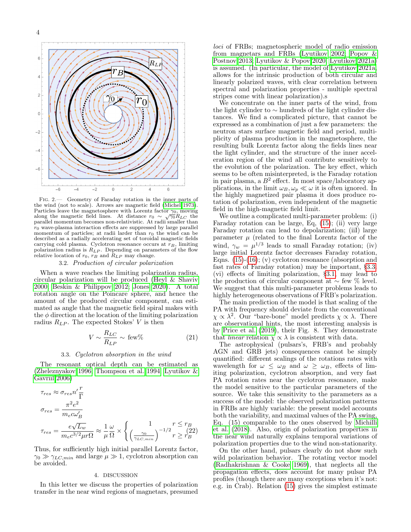

Fig. 2.— Geometry of Faraday rotation in the inner parts of the wind (not to scale). Arrows are magnetic field [\(Michel 1973\)](#page-4-18). Particles leave the magnetosphere with Lorentz factor  $\gamma_0$ , moving Farticles leave the magnetosphere with Lorentz factor  $\gamma_0$ , moving<br>along the magnetic field lines. At distance  $r_0 \sim \sqrt{\gamma_0} R_{LC}$  the<br>parallel momentum becomes non-relativistic. At radii smaller than  $r_0$  wave-plasma interaction effects are suppressed by large parallel momentum of particles; at radii larder than  $r_0$  the wind can be described as a radially accelerating set of toroidal magnetic fields carrying cold plasma. Cyclotron resonance occurs at  $r_B$ , limiting polarization radius is  $R_{LP}$ . Depending on parameters of the flow relative location of  $r_0$ ,  $r_B$  and  $R_{LP}$  may change.

# 3.2. Production of circular polarization

When a wave reaches the limiting polarization radius, circular polarization will be produced [\(Heyl & Shaviv](#page-4-22) [2000;](#page-4-22) [Beskin & Philippov 2012;](#page-4-9) [Jones 2020\)](#page-4-23). A total rotation angle on the Poincare sphere, and hence the amount of the produced circular component, can estimated as angle that the magnetic field spiral makes with the  $\phi$  direction at the location of the limiting polarization radius  $R_{LP}$ . The expected Stokes' V is then

$$
V \sim \frac{R_{LC}}{R_{LP}} \sim \text{few}\% \tag{21}
$$

# 3.3. Cyclotron absorption in the wind

<span id="page-3-0"></span>The resonant optical depth can be estimated as [\(Zheleznyakov 1996;](#page-4-24) [Thompson et al. 1994;](#page-4-25) [Lyutikov &](#page-4-26) [Gavriil 2006\)](#page-4-26)

$$
\tau_{res} \approx \sigma_{res} n' \frac{r}{\Gamma}
$$
\n
$$
\sigma_{res} = \frac{\pi^2 e^2}{m_e c \omega_B'}
$$
\n
$$
\tau_{res} = \frac{e\sqrt{L_w}}{m_e c^{3/2} \mu r \Omega} \approx \frac{1}{\mu} \frac{\omega}{\Omega} \times \left\{ \frac{1}{\gamma_0} \frac{r \le r_B}{r \ge r_B^2} \right\}
$$

Thus, for sufficiently high initial parallel Lorentz factor,  $\gamma_0 \gg \gamma_{LC,min}$  and large  $\mu \gg 1$ , cyclotron absorption can be avoided.

#### 4. DISCUSSION

In this letter we discuss the properties of polarization transfer in the near wind regions of magnetars, presumed

loci of FRBs; magnetospheric model of radio emission from magnetars and FRBs [\(Lyutikov 2002;](#page-4-27) [Popov &](#page-4-28) [Postnov 2013;](#page-4-28) [Lyutikov & Popov 2020;](#page-4-29) [Lyutikov 2021a\)](#page-4-30) is assumed. (In particular, the model of [Lyutikov 2021a,](#page-4-30) allows for the intrinsic production of both circular and linearly polarized waves, with clear correlation between spectral and polarization properties - multiple spectral stripes come with linear polarization).s

We concentrate on the inner parts of the wind, from the light cylinder to ∼ hundreds of the light cylinder distances. We find a complicated picture, that cannot be expressed as a combination of just a few parameters: the neutron stars surface magnetic field and period, multiplicity of plasma production in the magnetosphere, the resulting bulk Lorentz factor along the fields lines near the light cylinder, and the structure of the inner acceleration region of the wind all contribute sensitively to the evolution of the polarization. The key effect, which seems to be often misinterpreted, is the Faraday rotation in pair plasma, a  $B^2$  effect. In most space/laboratory applications, in the limit  $\omega_B, \omega_p \ll \omega$  it is often ignored. In the highly magnetized pair plasma it does produce rotation of polarization, even independent of the magnetic field in the high-magnetic field limit.

We outline a complicated multi-parameter problem: (i) Faraday rotation can be large, Eq, [\(15\)](#page-2-4); (ii) very large Faraday rotation can lead to depolarization; (iiI) large parameter  $\mu$  (related to the final Lorentz factor of the wind,  $\gamma_w = \mu^{1/3}$  leads to small Faraday rotation; (iv) large initial Lorentz factor decreases Faraday rotation, Eqns. [\(15\)](#page-2-4)-[\(16\)](#page-2-6); (v) cyclotron resonance (absorption and fast rates of Faraday rotation) may be important, §[3.3.](#page-3-0) (vi) effects of limiting polarization, §[3.1,](#page-2-7) may lead to the production of circular component at  $\sim$  few % level. We suggest that this multi-parameter problems leads to highly heterogeneous observations of FRB's polarization.

The main prediction of the model is that scaling of the PA with frequency should deviate from the conventional  $\chi \propto \lambda^2$ . Our "bare-bone" model predicts  $\chi \propto \lambda$ . There are observational hints, the most interesting analysis is by [Price et al. \(2019\)](#page-4-4), their Fig. 8. They demonstrate that *linear* relation  $\chi \propto \lambda$  is consistent with data.

The astrophysical (pulsars's, FRB's and probably AGN and GRB jets) consequences cannot be simply quantified: different scalings of the rotations rates with wavelength for  $\omega \leq \omega_B$  and  $\omega \geq \omega_B$ , effects of limiting polarization, cyclotron absorption, and very fast PA rotation rates near the cyclotron resonance, make the model sensitive to the particular parameters of the source. We take this sensitivity to the parameters as a success of the model: the observed polarization patterns in FRBs are highly variable: the present model accounts both the variability, and maximal values of the PA swing, Eq. (15) comparable to the ones observed by [Michilli](#page-4-5) [et al. \(2018\)](#page-4-5). Also, origin of polarization properties in the near wind naturally explains temporal variations of polarization properties due to the wind non-stationarity.

On the other hand, pulsars clearly do not show such wild polarization behavior. The rotating vector model [\(Radhakrishnan & Cooke 1969\)](#page-4-31), that neglects all the propagation effects, does account for many pulsar PA profiles (though there are many exceptions when it's not: e.g. in Crab). Relation [\(15\)](#page-2-4) gives the simplest estimate